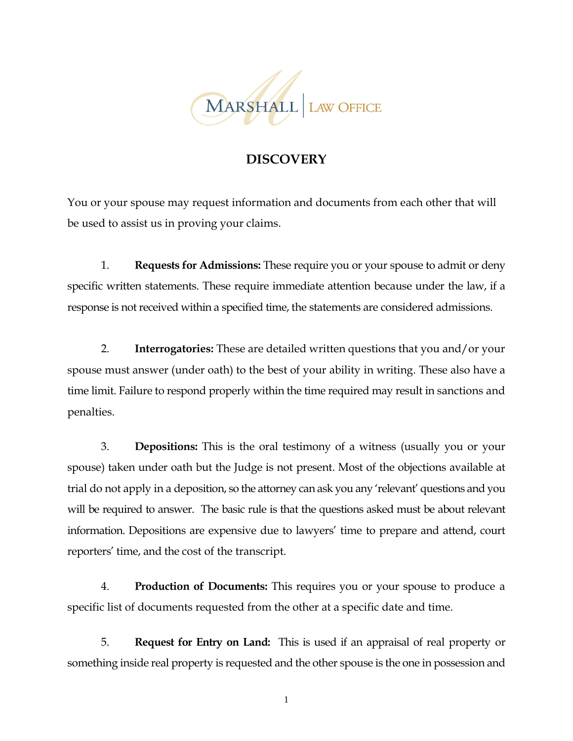

## **DISCOVERY**

You or your spouse may request information and documents from each other that will be used to assist us in proving your claims.

1. **Requests for Admissions:** These require you or your spouse to admit or deny specific written statements. These require immediate attention because under the law, if a response is not received within a specified time, the statements are considered admissions.

2. **Interrogatories:** These are detailed written questions that you and/or your spouse must answer (under oath) to the best of your ability in writing. These also have a time limit. Failure to respond properly within the time required may result in sanctions and penalties.

3. **Depositions:** This is the oral testimony of a witness (usually you or your spouse) taken under oath but the Judge is not present. Most of the objections available at trial do not apply in a deposition, so the attorney can ask you any 'relevant' questions and you will be required to answer. The basic rule is that the questions asked must be about relevant information. Depositions are expensive due to lawyers' time to prepare and attend, court reporters' time, and the cost of the transcript.

4. **Production of Documents:** This requires you or your spouse to produce a specific list of documents requested from the other at a specific date and time.

5. **Request for Entry on Land:** This is used if an appraisal of real property or something inside real property is requested and the other spouse is the one in possession and

1